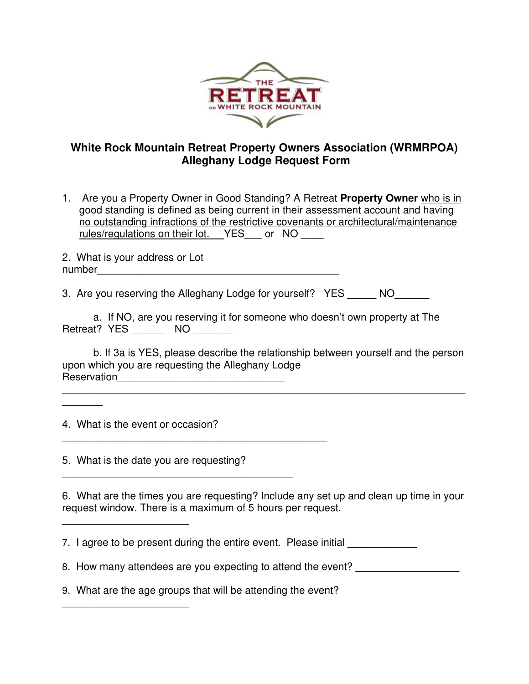

## **White Rock Mountain Retreat Property Owners Association (WRMRPOA) Alleghany Lodge Request Form**

1. Are you a Property Owner in Good Standing? A Retreat **Property Owner** who is in good standing is defined as being current in their assessment account and having no outstanding infractions of the restrictive covenants or architectural/maintenance rules/regulations on their lot. YES or NO

2. What is your address or Lot number\_\_\_\_\_\_\_\_\_\_\_\_\_\_\_\_\_\_\_\_\_\_\_\_\_\_\_\_\_\_\_\_\_\_\_\_\_\_\_\_\_\_

3. Are you reserving the Alleghany Lodge for yourself? YES NO

|              |                 | a. If NO, are you reserving it for someone who doesn't own property at The |  |
|--------------|-----------------|----------------------------------------------------------------------------|--|
| Retreat? YES | NO <sub>1</sub> |                                                                            |  |

b. If 3a is YES, please describe the relationship between yourself and the person upon which you are requesting the Alleghany Lodge Reservation\_\_\_\_\_\_\_\_\_\_\_\_\_\_\_\_\_\_\_\_\_\_\_\_\_\_\_\_\_

\_\_\_\_\_\_\_\_\_\_\_\_\_\_\_\_\_\_\_\_\_\_\_\_\_\_\_\_\_\_\_\_\_\_\_\_\_\_\_\_\_\_\_\_\_\_\_\_\_\_\_\_\_\_\_\_\_\_\_\_\_\_\_\_\_\_\_\_\_\_

4. What is the event or occasion?

\_\_\_\_\_\_\_\_\_\_\_\_\_\_\_\_\_\_\_\_\_\_

 $\frac{1}{2}$  ,  $\frac{1}{2}$  ,  $\frac{1}{2}$  ,  $\frac{1}{2}$  ,  $\frac{1}{2}$  ,  $\frac{1}{2}$  ,  $\frac{1}{2}$  ,  $\frac{1}{2}$  ,  $\frac{1}{2}$  ,  $\frac{1}{2}$  ,  $\frac{1}{2}$  ,  $\frac{1}{2}$  ,  $\frac{1}{2}$  ,  $\frac{1}{2}$  ,  $\frac{1}{2}$  ,  $\frac{1}{2}$  ,  $\frac{1}{2}$  ,  $\frac{1}{2}$  ,  $\frac{1$ 

 $\overline{\phantom{a}}$ 

5. What is the date you are requesting?

6. What are the times you are requesting? Include any set up and clean up time in your request window. There is a maximum of 5 hours per request.

7. I agree to be present during the entire event. Please initial

8. How many attendees are you expecting to attend the event?

9. What are the age groups that will be attending the event?

 $\overline{\phantom{a}}$  , and the contract of the contract of the contract of the contract of the contract of the contract of the contract of the contract of the contract of the contract of the contract of the contract of the contrac

\_\_\_\_\_\_\_\_\_\_\_\_\_\_\_\_\_\_\_\_\_\_\_\_\_\_\_\_\_\_\_\_\_\_\_\_\_\_\_\_